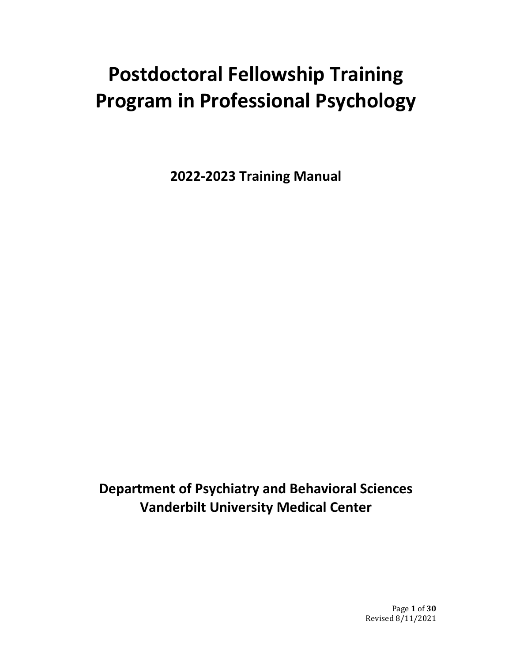# **Postdoctoral Fellowship Training Program in Professional Psychology**

**2022-2023 Training Manual**

**Department of Psychiatry and Behavioral Sciences Vanderbilt University Medical Center**

> Page **1** of **30** Revised 8/11/2021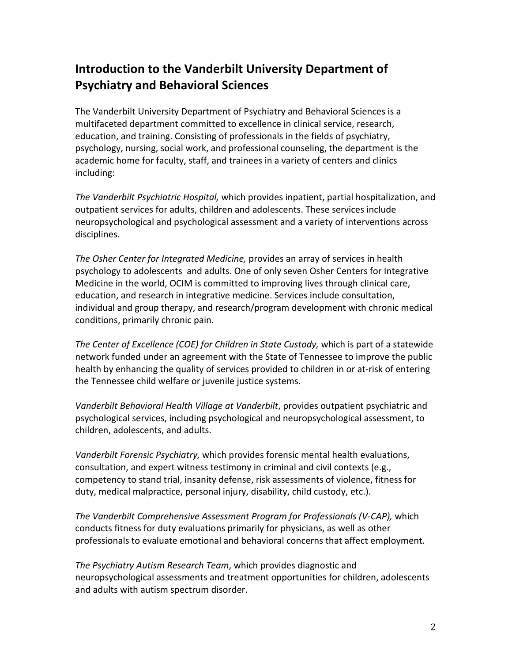# **Introduction to the Vanderbilt University Department of Psychiatry and Behavioral Sciences**

The Vanderbilt University Department of Psychiatry and Behavioral Sciences is a multifaceted department committed to excellence in clinical service, research, education, and training. Consisting of professionals in the fields of psychiatry, psychology, nursing, social work, and professional counseling, the department is the academic home for faculty, staff, and trainees in a variety of centers and clinics including:

*The Vanderbilt Psychiatric Hospital,* which provides inpatient, partial hospitalization, and outpatient services for adults, children and adolescents. These services include neuropsychological and psychological assessment and a variety of interventions across disciplines.

*The Osher Center for Integrated Medicine,* provides an array of services in health psychology to adolescents and adults. One of only seven Osher Centers for Integrative Medicine in the world, OCIM is committed to improving lives through clinical care, education, and research in integrative medicine. Services include consultation, individual and group therapy, and research/program development with chronic medical conditions, primarily chronic pain.

*The Center of Excellence (COE) for Children in State Custody,* which is part of a statewide network funded under an agreement with the State of Tennessee to improve the public health by enhancing the quality of services provided to children in or at-risk of entering the Tennessee child welfare or juvenile justice systems.

*Vanderbilt Behavioral Health Village at Vanderbilt*, provides outpatient psychiatric and psychological services, including psychological and neuropsychological assessment, to children, adolescents, and adults.

*Vanderbilt Forensic Psychiatry,* which provides forensic mental health evaluations, consultation, and expert witness testimony in criminal and civil contexts (e.g., competency to stand trial, insanity defense, risk assessments of violence, fitness for duty, medical malpractice, personal injury, disability, child custody, etc.).

*The Vanderbilt Comprehensive Assessment Program for Professionals (V-CAP),* which conducts fitness for duty evaluations primarily for physicians, as well as other professionals to evaluate emotional and behavioral concerns that affect employment.

*The Psychiatry Autism Research Team*, which provides diagnostic and neuropsychological assessments and treatment opportunities for children, adolescents and adults with autism spectrum disorder.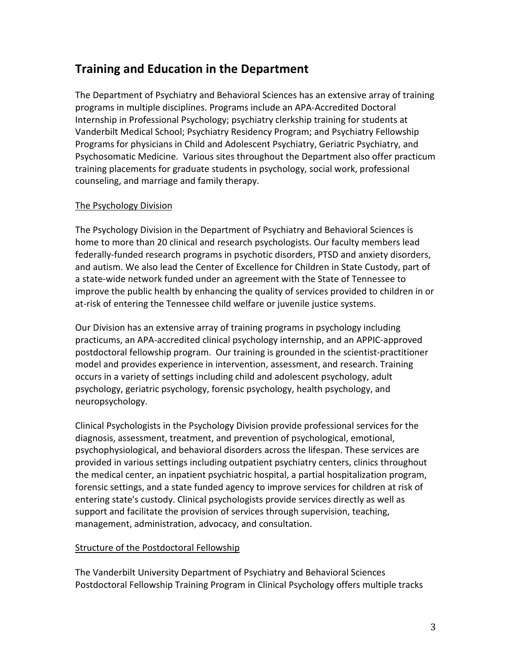# **Training and Education in the Department**

The Department of Psychiatry and Behavioral Sciences has an extensive array of training programs in multiple disciplines. Programs include an APA-Accredited Doctoral Internship in Professional Psychology; psychiatry clerkship training for students at Vanderbilt Medical School; Psychiatry Residency Program; and Psychiatry Fellowship Programs for physicians in Child and Adolescent Psychiatry, Geriatric Psychiatry, and Psychosomatic Medicine. Various sites throughout the Department also offer practicum training placements for graduate students in psychology, social work, professional counseling, and marriage and family therapy.

# The Psychology Division

The Psychology Division in the Department of Psychiatry and Behavioral Sciences is home to more than 20 clinical and research psychologists. Our faculty members lead federally-funded research programs in psychotic disorders, PTSD and anxiety disorders, and autism. We also lead the Center of Excellence for Children in State Custody, part of a state-wide network funded under an agreement with the State of Tennessee to improve the public health by enhancing the quality of services provided to children in or at-risk of entering the Tennessee child welfare or juvenile justice systems.

Our Division has an extensive array of training programs in psychology including practicums, an APA-accredited clinical psychology internship, and an APPIC-approved postdoctoral fellowship program. Our training is grounded in the scientist-practitioner model and provides experience in intervention, assessment, and research. Training occurs in a variety of settings including child and adolescent psychology, adult psychology, geriatric psychology, forensic psychology, health psychology, and neuropsychology.

Clinical Psychologists in the Psychology Division provide professional services for the diagnosis, assessment, treatment, and prevention of psychological, emotional, psychophysiological, and behavioral disorders across the lifespan. These services are provided in various settings including outpatient psychiatry centers, clinics throughout the medical center, an inpatient psychiatric hospital, a partial hospitalization program, forensic settings, and a state funded agency to improve services for children at risk of entering state's custody. Clinical psychologists provide services directly as well as support and facilitate the provision of services through supervision, teaching, management, administration, advocacy, and consultation.

# Structure of the Postdoctoral Fellowship

The Vanderbilt University Department of Psychiatry and Behavioral Sciences Postdoctoral Fellowship Training Program in Clinical Psychology offers multiple tracks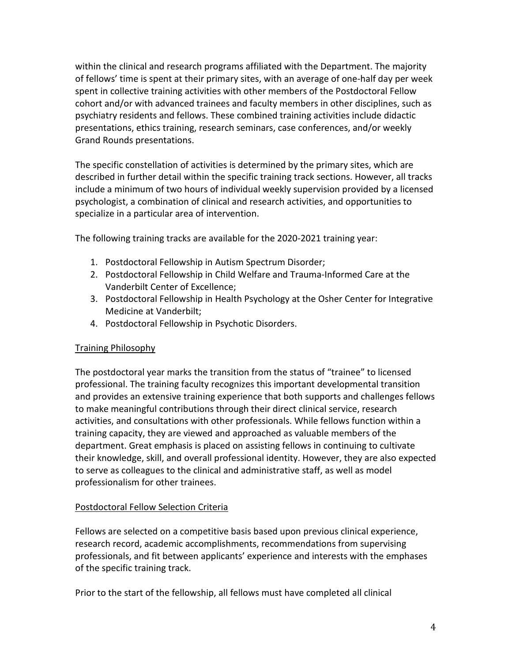within the clinical and research programs affiliated with the Department. The majority of fellows' time is spent at their primary sites, with an average of one-half day per week spent in collective training activities with other members of the Postdoctoral Fellow cohort and/or with advanced trainees and faculty members in other disciplines, such as psychiatry residents and fellows. These combined training activities include didactic presentations, ethics training, research seminars, case conferences, and/or weekly Grand Rounds presentations.

The specific constellation of activities is determined by the primary sites, which are described in further detail within the specific training track sections. However, all tracks include a minimum of two hours of individual weekly supervision provided by a licensed psychologist, a combination of clinical and research activities, and opportunities to specialize in a particular area of intervention.

The following training tracks are available for the 2020-2021 training year:

- 1. Postdoctoral Fellowship in Autism Spectrum Disorder;
- 2. Postdoctoral Fellowship in Child Welfare and Trauma-Informed Care at the Vanderbilt Center of Excellence;
- 3. Postdoctoral Fellowship in Health Psychology at the Osher Center for Integrative Medicine at Vanderbilt;
- 4. Postdoctoral Fellowship in Psychotic Disorders.

# Training Philosophy

The postdoctoral year marks the transition from the status of "trainee" to licensed professional. The training faculty recognizes this important developmental transition and provides an extensive training experience that both supports and challenges fellows to make meaningful contributions through their direct clinical service, research activities, and consultations with other professionals. While fellows function within a training capacity, they are viewed and approached as valuable members of the department. Great emphasis is placed on assisting fellows in continuing to cultivate their knowledge, skill, and overall professional identity. However, they are also expected to serve as colleagues to the clinical and administrative staff, as well as model professionalism for other trainees.

# Postdoctoral Fellow Selection Criteria

Fellows are selected on a competitive basis based upon previous clinical experience, research record, academic accomplishments, recommendations from supervising professionals, and fit between applicants' experience and interests with the emphases of the specific training track.

Prior to the start of the fellowship, all fellows must have completed all clinical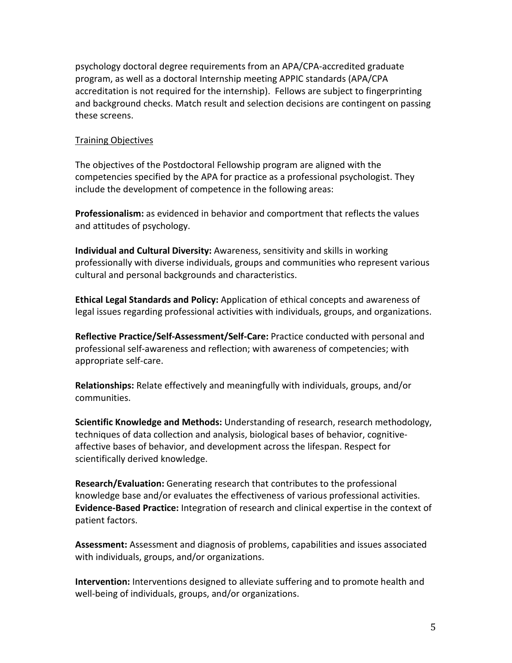psychology doctoral degree requirements from an APA/CPA-accredited graduate program, as well as a doctoral Internship meeting APPIC standards (APA/CPA accreditation is not required for the internship). Fellows are subject to fingerprinting and background checks. Match result and selection decisions are contingent on passing these screens.

#### Training Objectives

The objectives of the Postdoctoral Fellowship program are aligned with the competencies specified by the APA for practice as a professional psychologist. They include the development of competence in the following areas:

**Professionalism:** as evidenced in behavior and comportment that reflects the values and attitudes of psychology.

**Individual and Cultural Diversity:** Awareness, sensitivity and skills in working professionally with diverse individuals, groups and communities who represent various cultural and personal backgrounds and characteristics.

**Ethical Legal Standards and Policy:** Application of ethical concepts and awareness of legal issues regarding professional activities with individuals, groups, and organizations.

**Reflective Practice/Self-Assessment/Self-Care:** Practice conducted with personal and professional self-awareness and reflection; with awareness of competencies; with appropriate self-care.

**Relationships:** Relate effectively and meaningfully with individuals, groups, and/or communities.

**Scientific Knowledge and Methods:** Understanding of research, research methodology, techniques of data collection and analysis, biological bases of behavior, cognitiveaffective bases of behavior, and development across the lifespan. Respect for scientifically derived knowledge.

**Research/Evaluation:** Generating research that contributes to the professional knowledge base and/or evaluates the effectiveness of various professional activities. **Evidence-Based Practice:** Integration of research and clinical expertise in the context of patient factors.

**Assessment:** Assessment and diagnosis of problems, capabilities and issues associated with individuals, groups, and/or organizations.

**Intervention:** Interventions designed to alleviate suffering and to promote health and well-being of individuals, groups, and/or organizations.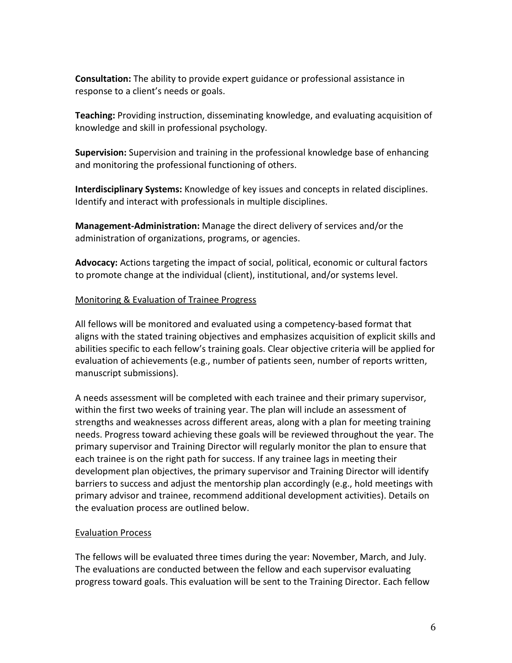**Consultation:** The ability to provide expert guidance or professional assistance in response to a client's needs or goals.

**Teaching:** Providing instruction, disseminating knowledge, and evaluating acquisition of knowledge and skill in professional psychology.

**Supervision:** Supervision and training in the professional knowledge base of enhancing and monitoring the professional functioning of others.

**Interdisciplinary Systems:** Knowledge of key issues and concepts in related disciplines. Identify and interact with professionals in multiple disciplines.

**Management-Administration:** Manage the direct delivery of services and/or the administration of organizations, programs, or agencies.

**Advocacy:** Actions targeting the impact of social, political, economic or cultural factors to promote change at the individual (client), institutional, and/or systems level.

# Monitoring & Evaluation of Trainee Progress

All fellows will be monitored and evaluated using a competency-based format that aligns with the stated training objectives and emphasizes acquisition of explicit skills and abilities specific to each fellow's training goals. Clear objective criteria will be applied for evaluation of achievements (e.g., number of patients seen, number of reports written, manuscript submissions).

A needs assessment will be completed with each trainee and their primary supervisor, within the first two weeks of training year. The plan will include an assessment of strengths and weaknesses across different areas, along with a plan for meeting training needs. Progress toward achieving these goals will be reviewed throughout the year. The primary supervisor and Training Director will regularly monitor the plan to ensure that each trainee is on the right path for success. If any trainee lags in meeting their development plan objectives, the primary supervisor and Training Director will identify barriers to success and adjust the mentorship plan accordingly (e.g., hold meetings with primary advisor and trainee, recommend additional development activities). Details on the evaluation process are outlined below.

# Evaluation Process

The fellows will be evaluated three times during the year: November, March, and July. The evaluations are conducted between the fellow and each supervisor evaluating progress toward goals. This evaluation will be sent to the Training Director. Each fellow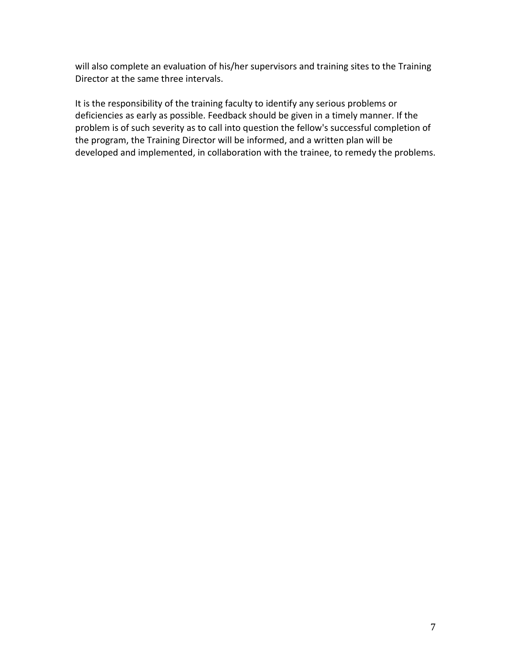will also complete an evaluation of his/her supervisors and training sites to the Training Director at the same three intervals.

It is the responsibility of the training faculty to identify any serious problems or deficiencies as early as possible. Feedback should be given in a timely manner. If the problem is of such severity as to call into question the fellow's successful completion of the program, the Training Director will be informed, and a written plan will be developed and implemented, in collaboration with the trainee, to remedy the problems.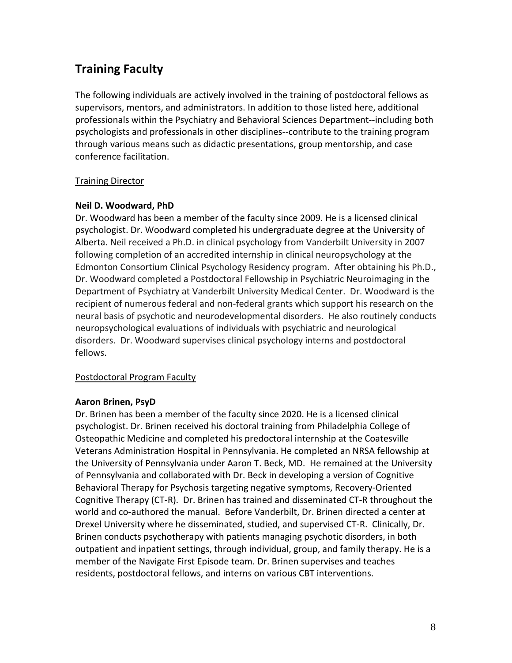# **Training Faculty**

The following individuals are actively involved in the training of postdoctoral fellows as supervisors, mentors, and administrators. In addition to those listed here, additional professionals within the Psychiatry and Behavioral Sciences Department--including both psychologists and professionals in other disciplines--contribute to the training program through various means such as didactic presentations, group mentorship, and case conference facilitation.

# Training Director

# **Neil D. Woodward, PhD**

Dr. Woodward has been a member of the faculty since 2009. He is a licensed clinical psychologist. Dr. Woodward completed his undergraduate degree at the University of Alberta. Neil received a Ph.D. in clinical psychology from Vanderbilt University in 2007 following completion of an accredited internship in clinical neuropsychology at the Edmonton Consortium Clinical Psychology Residency program. After obtaining his Ph.D., Dr. Woodward completed a Postdoctoral Fellowship in Psychiatric Neuroimaging in the Department of Psychiatry at Vanderbilt University Medical Center. Dr. Woodward is the recipient of numerous federal and non-federal grants which support his research on the neural basis of psychotic and neurodevelopmental disorders. He also routinely conducts neuropsychological evaluations of individuals with psychiatric and neurological disorders. Dr. Woodward supervises clinical psychology interns and postdoctoral fellows.

# Postdoctoral Program Faculty

#### **Aaron Brinen, PsyD**

Dr. Brinen has been a member of the faculty since 2020. He is a licensed clinical psychologist. Dr. Brinen received his doctoral training from Philadelphia College of Osteopathic Medicine and completed his predoctoral internship at the Coatesville Veterans Administration Hospital in Pennsylvania. He completed an NRSA fellowship at the University of Pennsylvania under Aaron T. Beck, MD. He remained at the University of Pennsylvania and collaborated with Dr. Beck in developing a version of Cognitive Behavioral Therapy for Psychosis targeting negative symptoms, Recovery-Oriented Cognitive Therapy (CT-R). Dr. Brinen has trained and disseminated CT-R throughout the world and co-authored the manual. Before Vanderbilt, Dr. Brinen directed a center at Drexel University where he disseminated, studied, and supervised CT-R. Clinically, Dr. Brinen conducts psychotherapy with patients managing psychotic disorders, in both outpatient and inpatient settings, through individual, group, and family therapy. He is a member of the Navigate First Episode team. Dr. Brinen supervises and teaches residents, postdoctoral fellows, and interns on various CBT interventions.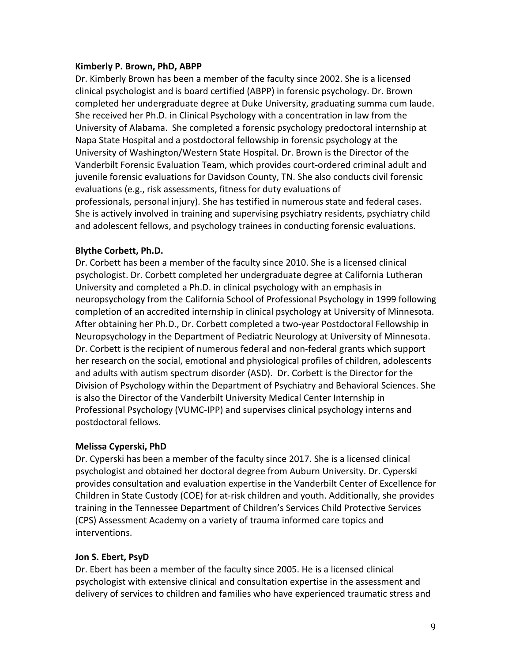#### **Kimberly P. Brown, PhD, ABPP**

Dr. Kimberly Brown has been a member of the faculty since 2002. She is a licensed clinical psychologist and is board certified (ABPP) in forensic psychology. Dr. Brown completed her undergraduate degree at Duke University, graduating summa cum laude. She received her Ph.D. in Clinical Psychology with a concentration in law from the University of Alabama. She completed a forensic psychology predoctoral internship at Napa State Hospital and a postdoctoral fellowship in forensic psychology at the University of Washington/Western State Hospital. Dr. Brown is the Director of the Vanderbilt Forensic Evaluation Team, which provides court-ordered criminal adult and juvenile forensic evaluations for Davidson County, TN. She also conducts civil forensic evaluations (e.g., risk assessments, fitness for duty evaluations of professionals, personal injury). She has testified in numerous state and federal cases. She is actively involved in training and supervising psychiatry residents, psychiatry child and adolescent fellows, and psychology trainees in conducting forensic evaluations.

#### **Blythe Corbett, Ph.D.**

Dr. Corbett has been a member of the faculty since 2010. She is a licensed clinical psychologist. Dr. Corbett completed her undergraduate degree at California Lutheran University and completed a Ph.D. in clinical psychology with an emphasis in neuropsychology from the California School of Professional Psychology in 1999 following completion of an accredited internship in clinical psychology at University of Minnesota. After obtaining her Ph.D., Dr. Corbett completed a two-year Postdoctoral Fellowship in Neuropsychology in the Department of Pediatric Neurology at University of Minnesota. Dr. Corbett is the recipient of numerous federal and non-federal grants which support her research on the social, emotional and physiological profiles of children, adolescents and adults with autism spectrum disorder (ASD). Dr. Corbett is the Director for the Division of Psychology within the Department of Psychiatry and Behavioral Sciences. She is also the Director of the Vanderbilt University Medical Center Internship in Professional Psychology (VUMC-IPP) and supervises clinical psychology interns and postdoctoral fellows.

#### **Melissa Cyperski, PhD**

Dr. Cyperski has been a member of the faculty since 2017. She is a licensed clinical psychologist and obtained her doctoral degree from Auburn University. Dr. Cyperski provides consultation and evaluation expertise in the Vanderbilt Center of Excellence for Children in State Custody (COE) for at-risk children and youth. Additionally, she provides training in the Tennessee Department of Children's Services Child Protective Services (CPS) Assessment Academy on a variety of trauma informed care topics and interventions.

#### **Jon S. Ebert, PsyD**

Dr. Ebert has been a member of the faculty since 2005. He is a licensed clinical psychologist with extensive clinical and consultation expertise in the assessment and delivery of services to children and families who have experienced traumatic stress and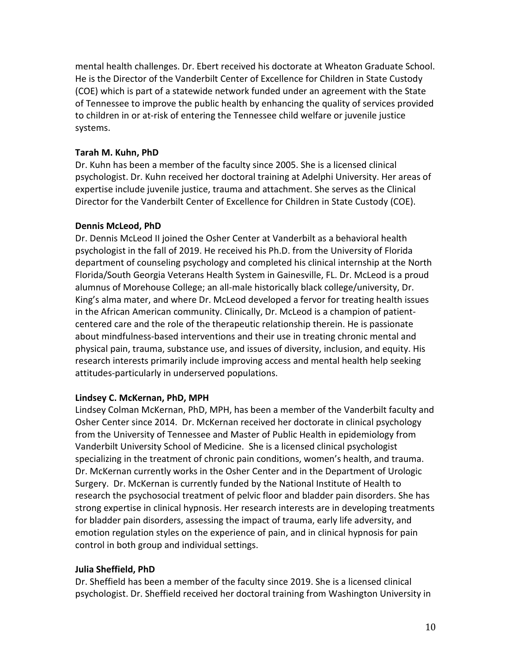mental health challenges. Dr. Ebert received his doctorate at Wheaton Graduate School. He is the Director of the Vanderbilt Center of Excellence for Children in State Custody (COE) which is part of a statewide network funded under an agreement with the State of Tennessee to improve the public health by enhancing the quality of services provided to children in or at-risk of entering the Tennessee child welfare or juvenile justice systems.

#### **Tarah M. Kuhn, PhD**

Dr. Kuhn has been a member of the faculty since 2005. She is a licensed clinical psychologist. Dr. Kuhn received her doctoral training at Adelphi University. Her areas of expertise include juvenile justice, trauma and attachment. She serves as the Clinical Director for the Vanderbilt Center of Excellence for Children in State Custody (COE).

#### **Dennis McLeod, PhD**

Dr. Dennis McLeod II joined the Osher Center at Vanderbilt as a behavioral health psychologist in the fall of 2019. He received his Ph.D. from the University of Florida department of counseling psychology and completed his clinical internship at the North Florida/South Georgia Veterans Health System in Gainesville, FL. Dr. McLeod is a proud alumnus of Morehouse College; an all-male historically black college/university, Dr. King's alma mater, and where Dr. McLeod developed a fervor for treating health issues in the African American community. Clinically, Dr. McLeod is a champion of patientcentered care and the role of the therapeutic relationship therein. He is passionate about mindfulness-based interventions and their use in treating chronic mental and physical pain, trauma, substance use, and issues of diversity, inclusion, and equity. His research interests primarily include improving access and mental health help seeking attitudes-particularly in underserved populations.

#### **Lindsey C. McKernan, PhD, MPH**

Lindsey Colman McKernan, PhD, MPH, has been a member of the Vanderbilt faculty and Osher Center since 2014. Dr. McKernan received her doctorate in clinical psychology from the University of Tennessee and Master of Public Health in epidemiology from Vanderbilt University School of Medicine. She is a licensed clinical psychologist specializing in the treatment of chronic pain conditions, women's health, and trauma. Dr. McKernan currently works in the Osher Center and in the Department of Urologic Surgery. Dr. McKernan is currently funded by the National Institute of Health to research the psychosocial treatment of pelvic floor and bladder pain disorders. She has strong expertise in clinical hypnosis. Her research interests are in developing treatments for bladder pain disorders, assessing the impact of trauma, early life adversity, and emotion regulation styles on the experience of pain, and in clinical hypnosis for pain control in both group and individual settings.

#### **Julia Sheffield, PhD**

Dr. Sheffield has been a member of the faculty since 2019. She is a licensed clinical psychologist. Dr. Sheffield received her doctoral training from Washington University in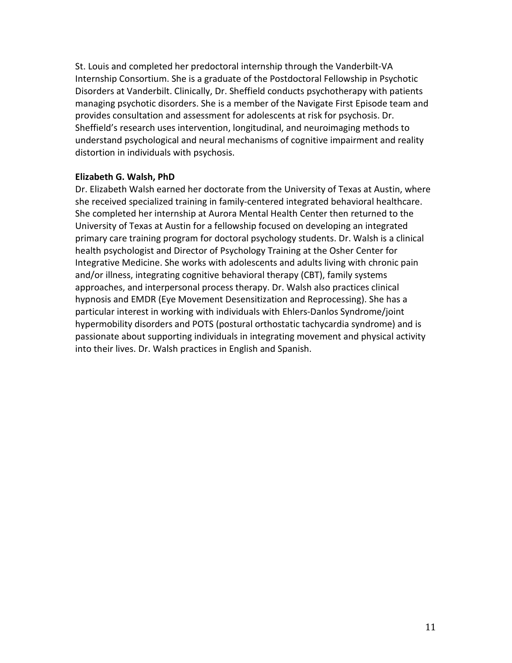St. Louis and completed her predoctoral internship through the Vanderbilt-VA Internship Consortium. She is a graduate of the Postdoctoral Fellowship in Psychotic Disorders at Vanderbilt. Clinically, Dr. Sheffield conducts psychotherapy with patients managing psychotic disorders. She is a member of the Navigate First Episode team and provides consultation and assessment for adolescents at risk for psychosis. Dr. Sheffield's research uses intervention, longitudinal, and neuroimaging methods to understand psychological and neural mechanisms of cognitive impairment and reality distortion in individuals with psychosis.

#### **Elizabeth G. Walsh, PhD**

Dr. Elizabeth Walsh earned her doctorate from the University of Texas at Austin, where she received specialized training in family-centered integrated behavioral healthcare. She completed her internship at Aurora Mental Health Center then returned to the University of Texas at Austin for a fellowship focused on developing an integrated primary care training program for doctoral psychology students. Dr. Walsh is a clinical health psychologist and Director of Psychology Training at the Osher Center for Integrative Medicine. She works with adolescents and adults living with chronic pain and/or illness, integrating cognitive behavioral therapy (CBT), family systems approaches, and interpersonal process therapy. Dr. Walsh also practices clinical hypnosis and EMDR (Eye Movement Desensitization and Reprocessing). She has a particular interest in working with individuals with Ehlers-Danlos Syndrome/joint hypermobility disorders and POTS (postural orthostatic tachycardia syndrome) and is passionate about supporting individuals in integrating movement and physical activity into their lives. Dr. Walsh practices in English and Spanish.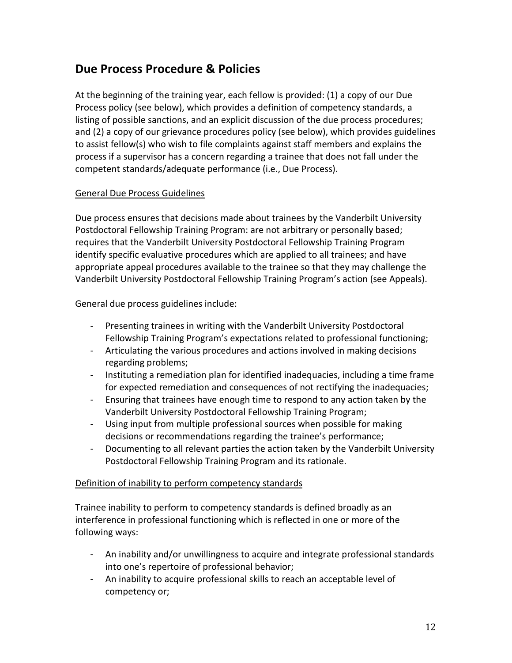# **Due Process Procedure & Policies**

At the beginning of the training year, each fellow is provided: (1) a copy of our Due Process policy (see below), which provides a definition of competency standards, a listing of possible sanctions, and an explicit discussion of the due process procedures; and (2) a copy of our grievance procedures policy (see below), which provides guidelines to assist fellow(s) who wish to file complaints against staff members and explains the process if a supervisor has a concern regarding a trainee that does not fall under the competent standards/adequate performance (i.e., Due Process).

# General Due Process Guidelines

Due process ensures that decisions made about trainees by the Vanderbilt University Postdoctoral Fellowship Training Program: are not arbitrary or personally based; requires that the Vanderbilt University Postdoctoral Fellowship Training Program identify specific evaluative procedures which are applied to all trainees; and have appropriate appeal procedures available to the trainee so that they may challenge the Vanderbilt University Postdoctoral Fellowship Training Program's action (see Appeals).

General due process guidelines include:

- Presenting trainees in writing with the Vanderbilt University Postdoctoral Fellowship Training Program's expectations related to professional functioning;
- Articulating the various procedures and actions involved in making decisions regarding problems;
- Instituting a remediation plan for identified inadequacies, including a time frame for expected remediation and consequences of not rectifying the inadequacies;
- Ensuring that trainees have enough time to respond to any action taken by the Vanderbilt University Postdoctoral Fellowship Training Program;
- Using input from multiple professional sources when possible for making decisions or recommendations regarding the trainee's performance;
- Documenting to all relevant parties the action taken by the Vanderbilt University Postdoctoral Fellowship Training Program and its rationale.

# Definition of inability to perform competency standards

Trainee inability to perform to competency standards is defined broadly as an interference in professional functioning which is reflected in one or more of the following ways:

- An inability and/or unwillingness to acquire and integrate professional standards into one's repertoire of professional behavior;
- An inability to acquire professional skills to reach an acceptable level of competency or;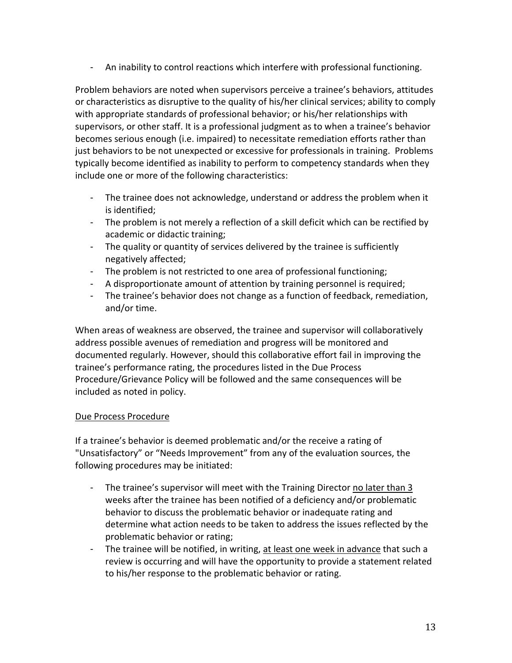- An inability to control reactions which interfere with professional functioning.

Problem behaviors are noted when supervisors perceive a trainee's behaviors, attitudes or characteristics as disruptive to the quality of his/her clinical services; ability to comply with appropriate standards of professional behavior; or his/her relationships with supervisors, or other staff. It is a professional judgment as to when a trainee's behavior becomes serious enough (i.e. impaired) to necessitate remediation efforts rather than just behaviors to be not unexpected or excessive for professionals in training. Problems typically become identified as inability to perform to competency standards when they include one or more of the following characteristics:

- The trainee does not acknowledge, understand or address the problem when it is identified;
- The problem is not merely a reflection of a skill deficit which can be rectified by academic or didactic training;
- The quality or quantity of services delivered by the trainee is sufficiently negatively affected;
- The problem is not restricted to one area of professional functioning;
- A disproportionate amount of attention by training personnel is required;
- The trainee's behavior does not change as a function of feedback, remediation, and/or time.

When areas of weakness are observed, the trainee and supervisor will collaboratively address possible avenues of remediation and progress will be monitored and documented regularly. However, should this collaborative effort fail in improving the trainee's performance rating, the procedures listed in the Due Process Procedure/Grievance Policy will be followed and the same consequences will be included as noted in policy.

# Due Process Procedure

If a trainee's behavior is deemed problematic and/or the receive a rating of "Unsatisfactory" or "Needs Improvement" from any of the evaluation sources, the following procedures may be initiated:

- The trainee's supervisor will meet with the Training Director no later than 3 weeks after the trainee has been notified of a deficiency and/or problematic behavior to discuss the problematic behavior or inadequate rating and determine what action needs to be taken to address the issues reflected by the problematic behavior or rating;
- The trainee will be notified, in writing, at least one week in advance that such a review is occurring and will have the opportunity to provide a statement related to his/her response to the problematic behavior or rating.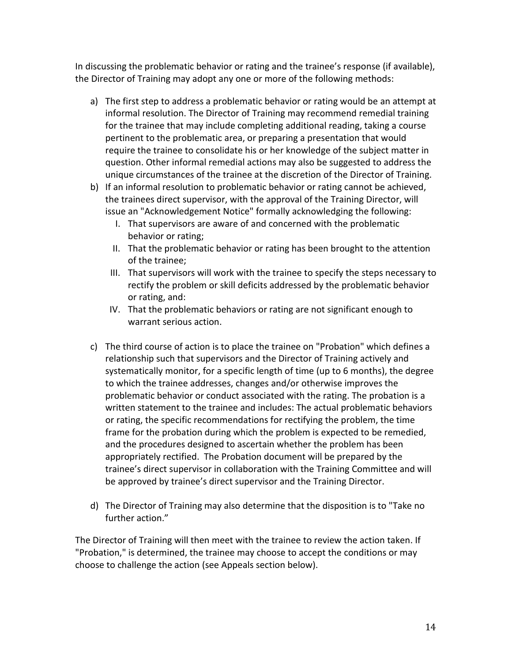In discussing the problematic behavior or rating and the trainee's response (if available), the Director of Training may adopt any one or more of the following methods:

- a) The first step to address a problematic behavior or rating would be an attempt at informal resolution. The Director of Training may recommend remedial training for the trainee that may include completing additional reading, taking a course pertinent to the problematic area, or preparing a presentation that would require the trainee to consolidate his or her knowledge of the subject matter in question. Other informal remedial actions may also be suggested to address the unique circumstances of the trainee at the discretion of the Director of Training.
- b) If an informal resolution to problematic behavior or rating cannot be achieved, the trainees direct supervisor, with the approval of the Training Director, will issue an "Acknowledgement Notice" formally acknowledging the following:
	- I. That supervisors are aware of and concerned with the problematic behavior or rating;
	- II. That the problematic behavior or rating has been brought to the attention of the trainee;
	- III. That supervisors will work with the trainee to specify the steps necessary to rectify the problem or skill deficits addressed by the problematic behavior or rating, and:
	- IV. That the problematic behaviors or rating are not significant enough to warrant serious action.
- c) The third course of action is to place the trainee on "Probation" which defines a relationship such that supervisors and the Director of Training actively and systematically monitor, for a specific length of time (up to 6 months), the degree to which the trainee addresses, changes and/or otherwise improves the problematic behavior or conduct associated with the rating. The probation is a written statement to the trainee and includes: The actual problematic behaviors or rating, the specific recommendations for rectifying the problem, the time frame for the probation during which the problem is expected to be remedied, and the procedures designed to ascertain whether the problem has been appropriately rectified. The Probation document will be prepared by the trainee's direct supervisor in collaboration with the Training Committee and will be approved by trainee's direct supervisor and the Training Director.
- d) The Director of Training may also determine that the disposition is to "Take no further action."

The Director of Training will then meet with the trainee to review the action taken. If "Probation," is determined, the trainee may choose to accept the conditions or may choose to challenge the action (see Appeals section below).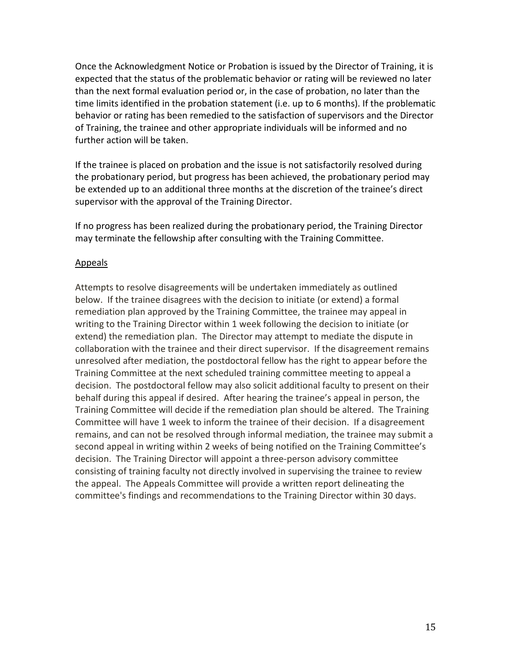Once the Acknowledgment Notice or Probation is issued by the Director of Training, it is expected that the status of the problematic behavior or rating will be reviewed no later than the next formal evaluation period or, in the case of probation, no later than the time limits identified in the probation statement (i.e. up to 6 months). If the problematic behavior or rating has been remedied to the satisfaction of supervisors and the Director of Training, the trainee and other appropriate individuals will be informed and no further action will be taken.

If the trainee is placed on probation and the issue is not satisfactorily resolved during the probationary period, but progress has been achieved, the probationary period may be extended up to an additional three months at the discretion of the trainee's direct supervisor with the approval of the Training Director.

If no progress has been realized during the probationary period, the Training Director may terminate the fellowship after consulting with the Training Committee.

#### Appeals

Attempts to resolve disagreements will be undertaken immediately as outlined below. If the trainee disagrees with the decision to initiate (or extend) a formal remediation plan approved by the Training Committee, the trainee may appeal in writing to the Training Director within 1 week following the decision to initiate (or extend) the remediation plan. The Director may attempt to mediate the dispute in collaboration with the trainee and their direct supervisor. If the disagreement remains unresolved after mediation, the postdoctoral fellow has the right to appear before the Training Committee at the next scheduled training committee meeting to appeal a decision. The postdoctoral fellow may also solicit additional faculty to present on their behalf during this appeal if desired. After hearing the trainee's appeal in person, the Training Committee will decide if the remediation plan should be altered. The Training Committee will have 1 week to inform the trainee of their decision. If a disagreement remains, and can not be resolved through informal mediation, the trainee may submit a second appeal in writing within 2 weeks of being notified on the Training Committee's decision. The Training Director will appoint a three-person advisory committee consisting of training faculty not directly involved in supervising the trainee to review the appeal. The Appeals Committee will provide a written report delineating the committee's findings and recommendations to the Training Director within 30 days.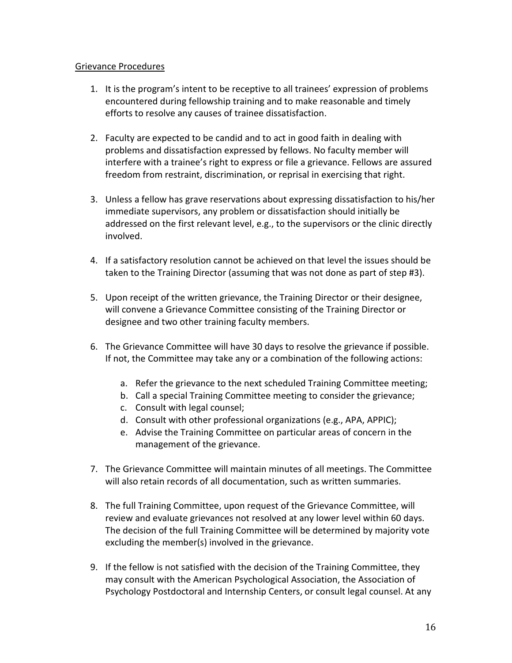#### Grievance Procedures

- 1. It is the program's intent to be receptive to all trainees' expression of problems encountered during fellowship training and to make reasonable and timely efforts to resolve any causes of trainee dissatisfaction.
- 2. Faculty are expected to be candid and to act in good faith in dealing with problems and dissatisfaction expressed by fellows. No faculty member will interfere with a trainee's right to express or file a grievance. Fellows are assured freedom from restraint, discrimination, or reprisal in exercising that right.
- 3. Unless a fellow has grave reservations about expressing dissatisfaction to his/her immediate supervisors, any problem or dissatisfaction should initially be addressed on the first relevant level, e.g., to the supervisors or the clinic directly involved.
- 4. If a satisfactory resolution cannot be achieved on that level the issues should be taken to the Training Director (assuming that was not done as part of step #3).
- 5. Upon receipt of the written grievance, the Training Director or their designee, will convene a Grievance Committee consisting of the Training Director or designee and two other training faculty members.
- 6. The Grievance Committee will have 30 days to resolve the grievance if possible. If not, the Committee may take any or a combination of the following actions:
	- a. Refer the grievance to the next scheduled Training Committee meeting;
	- b. Call a special Training Committee meeting to consider the grievance;
	- c. Consult with legal counsel;
	- d. Consult with other professional organizations (e.g., APA, APPIC);
	- e. Advise the Training Committee on particular areas of concern in the management of the grievance.
- 7. The Grievance Committee will maintain minutes of all meetings. The Committee will also retain records of all documentation, such as written summaries.
- 8. The full Training Committee, upon request of the Grievance Committee, will review and evaluate grievances not resolved at any lower level within 60 days. The decision of the full Training Committee will be determined by majority vote excluding the member(s) involved in the grievance.
- 9. If the fellow is not satisfied with the decision of the Training Committee, they may consult with the American Psychological Association, the Association of Psychology Postdoctoral and Internship Centers, or consult legal counsel. At any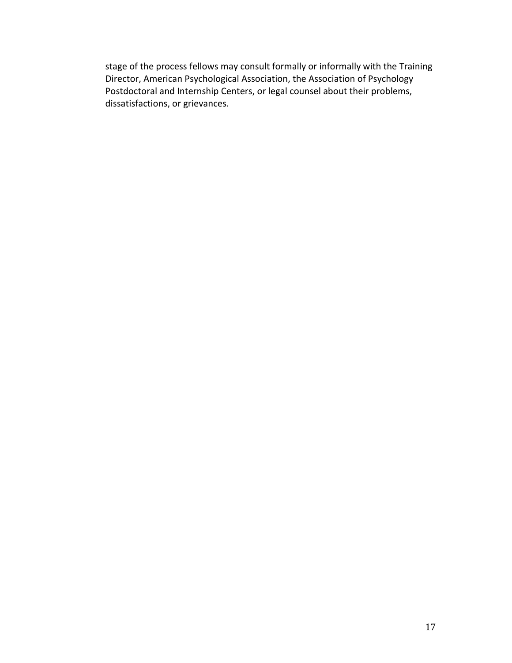stage of the process fellows may consult formally or informally with the Training Director, American Psychological Association, the Association of Psychology Postdoctoral and Internship Centers, or legal counsel about their problems, dissatisfactions, or grievances.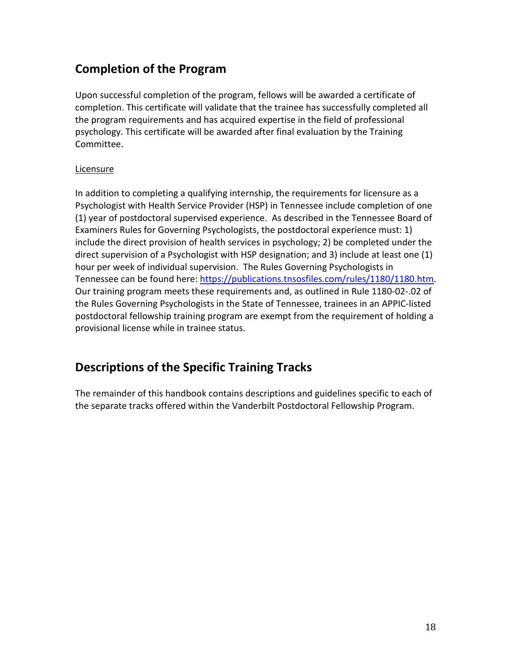# **Completion of the Program**

Upon successful completion of the program, fellows will be awarded a certificate of completion. This certificate will validate that the trainee has successfully completed all the program requirements and has acquired expertise in the field of professional psychology. This certificate will be awarded after final evaluation by the Training Committee.

# **Licensure**

In addition to completing a qualifying internship, the requirements for licensure as a Psychologist with Health Service Provider (HSP) in Tennessee include completion of one (1) year of postdoctoral supervised experience. As described in the Tennessee Board of Examiners Rules for Governing Psychologists, the postdoctoral experience must: 1) include the direct provision of health services in psychology; 2) be completed under the direct supervision of a Psychologist with HSP designation; and 3) include at least one (1) hour per week of individual supervision. The Rules Governing Psychologists in Tennessee can be found here: [https://publications.tnsosfiles.com/rules/1180/1180.htm.](https://publications.tnsosfiles.com/rules/1180/1180.htm) Our training program meets these requirements and, as outlined in Rule 1180-02-.02 of the Rules Governing Psychologists in the State of Tennessee, trainees in an APPIC-listed postdoctoral fellowship training program are exempt from the requirement of holding a provisional license while in trainee status.

# **Descriptions of the Specific Training Tracks**

The remainder of this handbook contains descriptions and guidelines specific to each of the separate tracks offered within the Vanderbilt Postdoctoral Fellowship Program.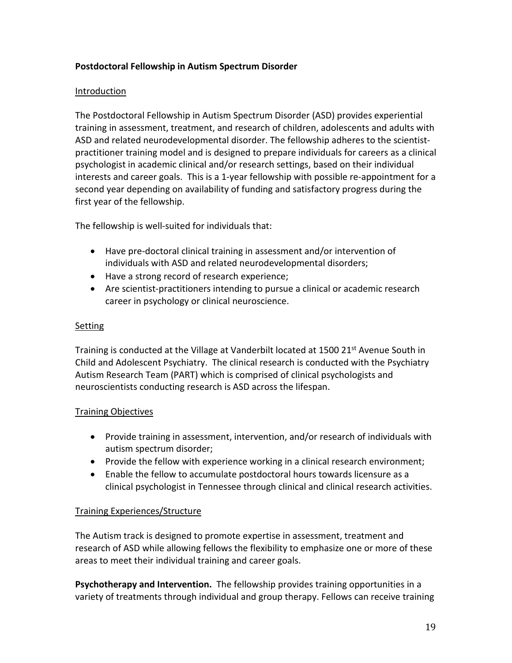# **Postdoctoral Fellowship in Autism Spectrum Disorder**

# Introduction

The Postdoctoral Fellowship in Autism Spectrum Disorder (ASD) provides experiential training in assessment, treatment, and research of children, adolescents and adults with ASD and related neurodevelopmental disorder. The fellowship adheres to the scientistpractitioner training model and is designed to prepare individuals for careers as a clinical psychologist in academic clinical and/or research settings, based on their individual interests and career goals. This is a 1-year fellowship with possible re-appointment for a second year depending on availability of funding and satisfactory progress during the first year of the fellowship.

The fellowship is well-suited for individuals that:

- Have pre-doctoral clinical training in assessment and/or intervention of individuals with ASD and related neurodevelopmental disorders;
- Have a strong record of research experience;
- Are scientist-practitioners intending to pursue a clinical or academic research career in psychology or clinical neuroscience.

# **Setting**

Training is conducted at the Village at Vanderbilt located at 1500 21st Avenue South in Child and Adolescent Psychiatry. The clinical research is conducted with the Psychiatry Autism Research Team (PART) which is comprised of clinical psychologists and neuroscientists conducting research is ASD across the lifespan.

# Training Objectives

- Provide training in assessment, intervention, and/or research of individuals with autism spectrum disorder;
- Provide the fellow with experience working in a clinical research environment;
- Enable the fellow to accumulate postdoctoral hours towards licensure as a clinical psychologist in Tennessee through clinical and clinical research activities.

# Training Experiences/Structure

The Autism track is designed to promote expertise in assessment, treatment and research of ASD while allowing fellows the flexibility to emphasize one or more of these areas to meet their individual training and career goals.

**Psychotherapy and Intervention.** The fellowship provides training opportunities in a variety of treatments through individual and group therapy. Fellows can receive training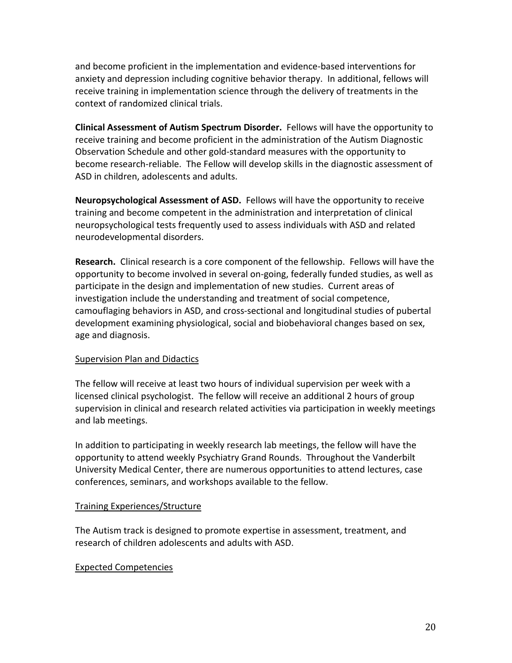and become proficient in the implementation and evidence-based interventions for anxiety and depression including cognitive behavior therapy. In additional, fellows will receive training in implementation science through the delivery of treatments in the context of randomized clinical trials.

**Clinical Assessment of Autism Spectrum Disorder.** Fellows will have the opportunity to receive training and become proficient in the administration of the Autism Diagnostic Observation Schedule and other gold-standard measures with the opportunity to become research-reliable. The Fellow will develop skills in the diagnostic assessment of ASD in children, adolescents and adults.

**Neuropsychological Assessment of ASD.** Fellows will have the opportunity to receive training and become competent in the administration and interpretation of clinical neuropsychological tests frequently used to assess individuals with ASD and related neurodevelopmental disorders.

**Research.** Clinical research is a core component of the fellowship. Fellows will have the opportunity to become involved in several on-going, federally funded studies, as well as participate in the design and implementation of new studies. Current areas of investigation include the understanding and treatment of social competence, camouflaging behaviors in ASD, and cross-sectional and longitudinal studies of pubertal development examining physiological, social and biobehavioral changes based on sex, age and diagnosis.

#### Supervision Plan and Didactics

The fellow will receive at least two hours of individual supervision per week with a licensed clinical psychologist. The fellow will receive an additional 2 hours of group supervision in clinical and research related activities via participation in weekly meetings and lab meetings.

In addition to participating in weekly research lab meetings, the fellow will have the opportunity to attend weekly Psychiatry Grand Rounds. Throughout the Vanderbilt University Medical Center, there are numerous opportunities to attend lectures, case conferences, seminars, and workshops available to the fellow.

#### Training Experiences/Structure

The Autism track is designed to promote expertise in assessment, treatment, and research of children adolescents and adults with ASD.

#### Expected Competencies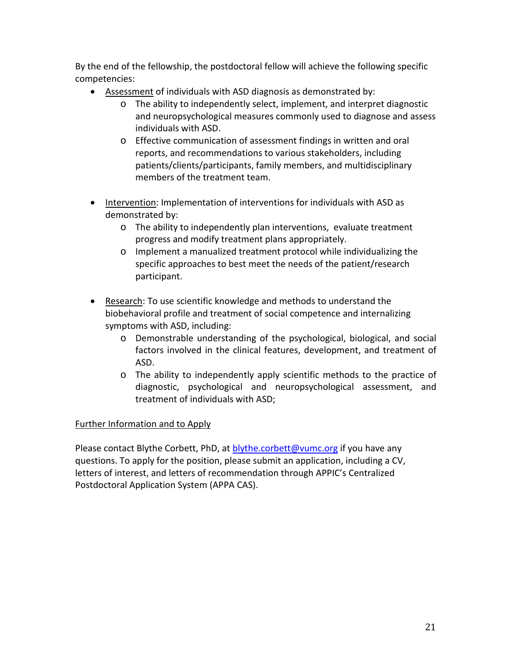By the end of the fellowship, the postdoctoral fellow will achieve the following specific competencies:

- Assessment of individuals with ASD diagnosis as demonstrated by:
	- o The ability to independently select, implement, and interpret diagnostic and neuropsychological measures commonly used to diagnose and assess individuals with ASD.
	- o Effective communication of assessment findings in written and oral reports, and recommendations to various stakeholders, including patients/clients/participants, family members, and multidisciplinary members of the treatment team.
- Intervention: Implementation of interventions for individuals with ASD as demonstrated by:
	- $\circ$  The ability to independently plan interventions, evaluate treatment progress and modify treatment plans appropriately.
	- o Implement a manualized treatment protocol while individualizing the specific approaches to best meet the needs of the patient/research participant.
- Research: To use scientific knowledge and methods to understand the biobehavioral profile and treatment of social competence and internalizing symptoms with ASD, including:
	- o Demonstrable understanding of the psychological, biological, and social factors involved in the clinical features, development, and treatment of ASD.
	- o The ability to independently apply scientific methods to the practice of diagnostic, psychological and neuropsychological assessment, and treatment of individuals with ASD;

# Further Information and to Apply

Please contact Blythe Corbett, PhD, at [blythe.corbett@vumc.org](mailto:blythe.corbett@vumc.org) if you have any questions. To apply for the position, please submit an application, including a CV, letters of interest, and letters of recommendation through APPIC's Centralized Postdoctoral Application System (APPA CAS).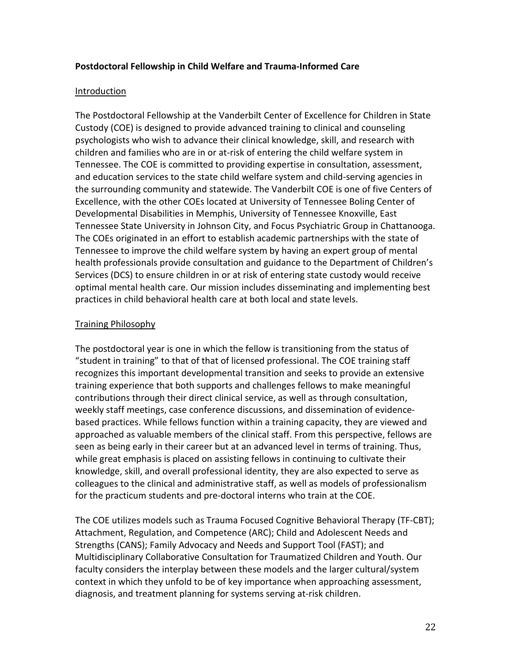#### **Postdoctoral Fellowship in Child Welfare and Trauma-Informed Care**

#### Introduction

The Postdoctoral Fellowship at the Vanderbilt Center of Excellence for Children in State Custody (COE) is designed to provide advanced training to clinical and counseling psychologists who wish to advance their clinical knowledge, skill, and research with children and families who are in or at-risk of entering the child welfare system in Tennessee. The COE is committed to providing expertise in consultation, assessment, and education services to the state child welfare system and child-serving agencies in the surrounding community and statewide. The Vanderbilt COE is one of five Centers of Excellence, with the other COEs located at University of Tennessee Boling Center of Developmental Disabilities in Memphis, University of Tennessee Knoxville, East Tennessee State University in Johnson City, and Focus Psychiatric Group in Chattanooga. The COEs originated in an effort to establish academic partnerships with the state of Tennessee to improve the child welfare system by having an expert group of mental health professionals provide consultation and guidance to the Department of Children's Services (DCS) to ensure children in or at risk of entering state custody would receive optimal mental health care. Our mission includes disseminating and implementing best practices in child behavioral health care at both local and state levels.

#### Training Philosophy

The postdoctoral year is one in which the fellow is transitioning from the status of "student in training" to that of that of licensed professional. The COE training staff recognizes this important developmental transition and seeks to provide an extensive training experience that both supports and challenges fellows to make meaningful contributions through their direct clinical service, as well as through consultation, weekly staff meetings, case conference discussions, and dissemination of evidencebased practices. While fellows function within a training capacity, they are viewed and approached as valuable members of the clinical staff. From this perspective, fellows are seen as being early in their career but at an advanced level in terms of training. Thus, while great emphasis is placed on assisting fellows in continuing to cultivate their knowledge, skill, and overall professional identity, they are also expected to serve as colleagues to the clinical and administrative staff, as well as models of professionalism for the practicum students and pre-doctoral interns who train at the COE.

The COE utilizes models such as Trauma Focused Cognitive Behavioral Therapy (TF-CBT); Attachment, Regulation, and Competence (ARC); Child and Adolescent Needs and Strengths (CANS); Family Advocacy and Needs and Support Tool (FAST); and Multidisciplinary Collaborative Consultation for Traumatized Children and Youth. Our faculty considers the interplay between these models and the larger cultural/system context in which they unfold to be of key importance when approaching assessment, diagnosis, and treatment planning for systems serving at-risk children.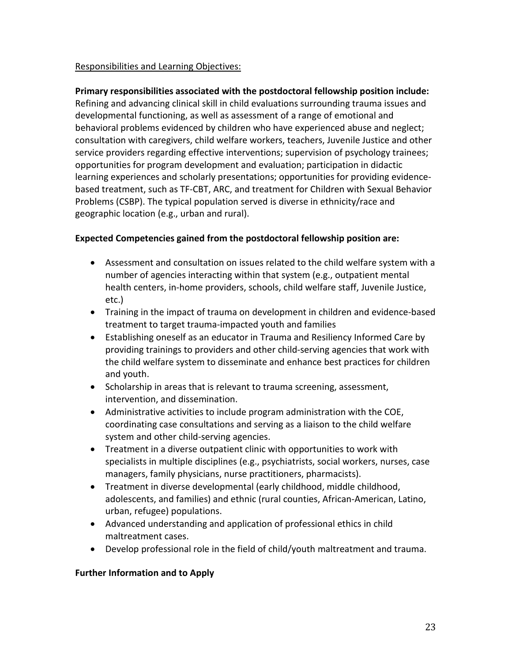#### Responsibilities and Learning Objectives:

#### **Primary responsibilities associated with the postdoctoral fellowship position include:**

Refining and advancing clinical skill in child evaluations surrounding trauma issues and developmental functioning, as well as assessment of a range of emotional and behavioral problems evidenced by children who have experienced abuse and neglect; consultation with caregivers, child welfare workers, teachers, Juvenile Justice and other service providers regarding effective interventions; supervision of psychology trainees; opportunities for program development and evaluation; participation in didactic learning experiences and scholarly presentations; opportunities for providing evidencebased treatment, such as TF-CBT, ARC, and treatment for Children with Sexual Behavior Problems (CSBP). The typical population served is diverse in ethnicity/race and geographic location (e.g., urban and rural).

#### **Expected Competencies gained from the postdoctoral fellowship position are:**

- Assessment and consultation on issues related to the child welfare system with a number of agencies interacting within that system (e.g., outpatient mental health centers, in-home providers, schools, child welfare staff, Juvenile Justice, etc.)
- Training in the impact of trauma on development in children and evidence-based treatment to target trauma-impacted youth and families
- Establishing oneself as an educator in Trauma and Resiliency Informed Care by providing trainings to providers and other child-serving agencies that work with the child welfare system to disseminate and enhance best practices for children and youth.
- Scholarship in areas that is relevant to trauma screening, assessment, intervention, and dissemination.
- Administrative activities to include program administration with the COE, coordinating case consultations and serving as a liaison to the child welfare system and other child-serving agencies.
- Treatment in a diverse outpatient clinic with opportunities to work with specialists in multiple disciplines (e.g., psychiatrists, social workers, nurses, case managers, family physicians, nurse practitioners, pharmacists).
- Treatment in diverse developmental (early childhood, middle childhood, adolescents, and families) and ethnic (rural counties, African-American, Latino, urban, refugee) populations.
- Advanced understanding and application of professional ethics in child maltreatment cases.
- Develop professional role in the field of child/youth maltreatment and trauma.

#### **Further Information and to Apply**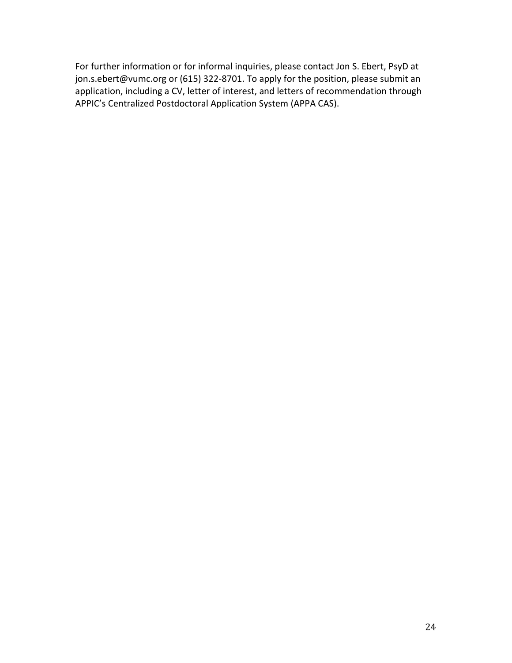For further information or for informal inquiries, please contact Jon S. Ebert, PsyD at jon.s.ebert@vumc.org or (615) 322-8701. To apply for the position, please submit an application, including a CV, letter of interest, and letters of recommendation through APPIC's Centralized Postdoctoral Application System (APPA CAS).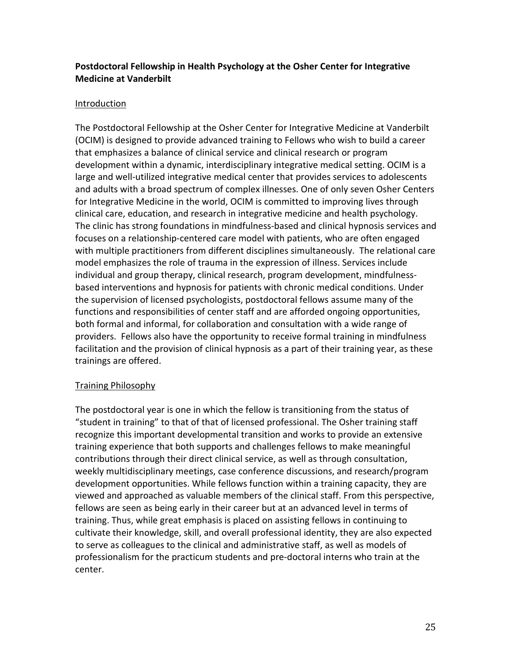# **Postdoctoral Fellowship in Health Psychology at the Osher Center for Integrative Medicine at Vanderbilt**

#### Introduction

The Postdoctoral Fellowship at the Osher Center for Integrative Medicine at Vanderbilt (OCIM) is designed to provide advanced training to Fellows who wish to build a career that emphasizes a balance of clinical service and clinical research or program development within a dynamic, interdisciplinary integrative medical setting. OCIM is a large and well-utilized integrative medical center that provides services to adolescents and adults with a broad spectrum of complex illnesses. One of only seven Osher Centers for Integrative Medicine in the world, OCIM is committed to improving lives through clinical care, education, and research in integrative medicine and health psychology. The clinic has strong foundations in mindfulness-based and clinical hypnosis services and focuses on a relationship-centered care model with patients, who are often engaged with multiple practitioners from different disciplines simultaneously. The relational care model emphasizes the role of trauma in the expression of illness. Services include individual and group therapy, clinical research, program development, mindfulnessbased interventions and hypnosis for patients with chronic medical conditions. Under the supervision of licensed psychologists, postdoctoral fellows assume many of the functions and responsibilities of center staff and are afforded ongoing opportunities, both formal and informal, for collaboration and consultation with a wide range of providers. Fellows also have the opportunity to receive formal training in mindfulness facilitation and the provision of clinical hypnosis as a part of their training year, as these trainings are offered.

#### Training Philosophy

The postdoctoral year is one in which the fellow is transitioning from the status of "student in training" to that of that of licensed professional. The Osher training staff recognize this important developmental transition and works to provide an extensive training experience that both supports and challenges fellows to make meaningful contributions through their direct clinical service, as well as through consultation, weekly multidisciplinary meetings, case conference discussions, and research/program development opportunities. While fellows function within a training capacity, they are viewed and approached as valuable members of the clinical staff. From this perspective, fellows are seen as being early in their career but at an advanced level in terms of training. Thus, while great emphasis is placed on assisting fellows in continuing to cultivate their knowledge, skill, and overall professional identity, they are also expected to serve as colleagues to the clinical and administrative staff, as well as models of professionalism for the practicum students and pre-doctoral interns who train at the center.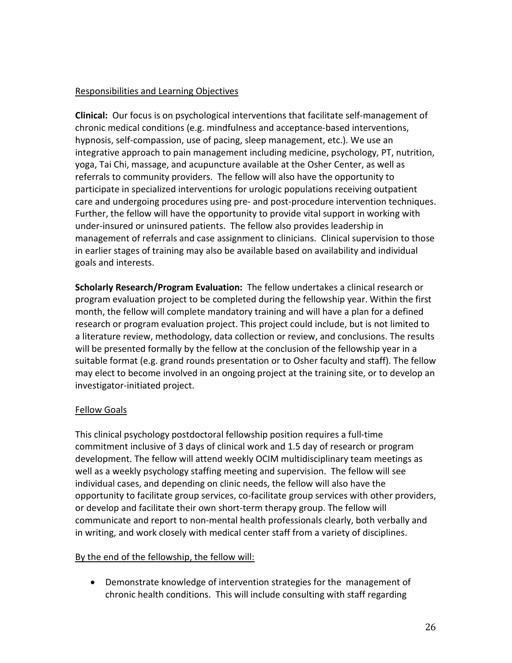#### Responsibilities and Learning Objectives

**Clinical:** Our focus is on psychological interventions that facilitate self-management of chronic medical conditions (e.g. mindfulness and acceptance-based interventions, hypnosis, self-compassion, use of pacing, sleep management, etc.). We use an integrative approach to pain management including medicine, psychology, PT, nutrition, yoga, Tai Chi, massage, and acupuncture available at the Osher Center, as well as referrals to community providers. The fellow will also have the opportunity to participate in specialized interventions for urologic populations receiving outpatient care and undergoing procedures using pre- and post-procedure intervention techniques. Further, the fellow will have the opportunity to provide vital support in working with under-insured or uninsured patients. The fellow also provides leadership in management of referrals and case assignment to clinicians. Clinical supervision to those in earlier stages of training may also be available based on availability and individual goals and interests.

**Scholarly Research/Program Evaluation:** The fellow undertakes a clinical research or program evaluation project to be completed during the fellowship year. Within the first month, the fellow will complete mandatory training and will have a plan for a defined research or program evaluation project. This project could include, but is not limited to a literature review, methodology, data collection or review, and conclusions. The results will be presented formally by the fellow at the conclusion of the fellowship year in a suitable format (e.g. grand rounds presentation or to Osher faculty and staff). The fellow may elect to become involved in an ongoing project at the training site, or to develop an investigator-initiated project.

#### Fellow Goals

This clinical psychology postdoctoral fellowship position requires a full-time commitment inclusive of 3 days of clinical work and 1.5 day of research or program development. The fellow will attend weekly OCIM multidisciplinary team meetings as well as a weekly psychology staffing meeting and supervision. The fellow will see individual cases, and depending on clinic needs, the fellow will also have the opportunity to facilitate group services, co-facilitate group services with other providers, or develop and facilitate their own short-term therapy group. The fellow will communicate and report to non-mental health professionals clearly, both verbally and in writing, and work closely with medical center staff from a variety of disciplines.

# By the end of the fellowship, the fellow will:

• Demonstrate knowledge of intervention strategies for the management of chronic health conditions. This will include consulting with staff regarding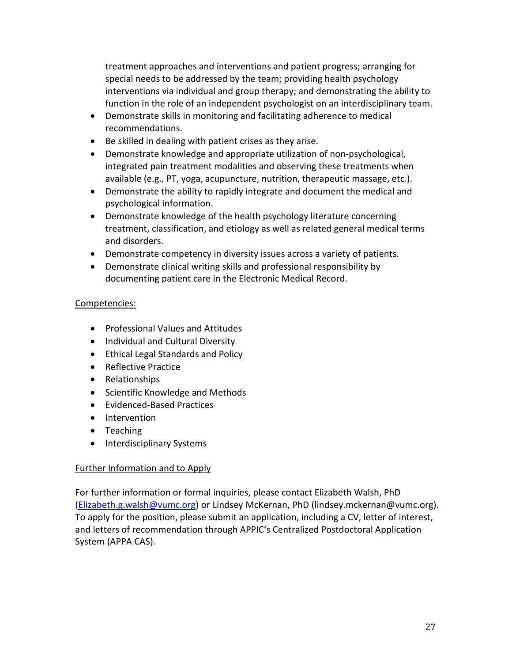treatment approaches and interventions and patient progress; arranging for special needs to be addressed by the team; providing health psychology interventions via individual and group therapy; and demonstrating the ability to function in the role of an independent psychologist on an interdisciplinary team.

- Demonstrate skills in monitoring and facilitating adherence to medical recommendations.
- Be skilled in dealing with patient crises as they arise.
- Demonstrate knowledge and appropriate utilization of non-psychological, integrated pain treatment modalities and observing these treatments when available (e.g., PT, yoga, acupuncture, nutrition, therapeutic massage, etc.).
- Demonstrate the ability to rapidly integrate and document the medical and psychological information.
- Demonstrate knowledge of the health psychology literature concerning treatment, classification, and etiology as well as related general medical terms and disorders.
- Demonstrate competency in diversity issues across a variety of patients.
- Demonstrate clinical writing skills and professional responsibility by documenting patient care in the Electronic Medical Record.

# Competencies:

- Professional Values and Attitudes
- Individual and Cultural Diversity
- Ethical Legal Standards and Policy
- Reflective Practice
- Relationships
- Scientific Knowledge and Methods
- Evidenced-Based Practices
- Intervention
- Teaching
- Interdisciplinary Systems

# Further Information and to Apply

For further information or formal inquiries, please contact Elizabeth Walsh, PhD [\(Elizabeth.g.walsh@vumc.org\)](mailto:Elizabeth.g.walsh@vumc.org) or Lindsey McKernan, PhD (lindsey.mckernan@vumc.org). To apply for the position, please submit an application, including a CV, letter of interest, and letters of recommendation through APPIC's Centralized Postdoctoral Application System (APPA CAS).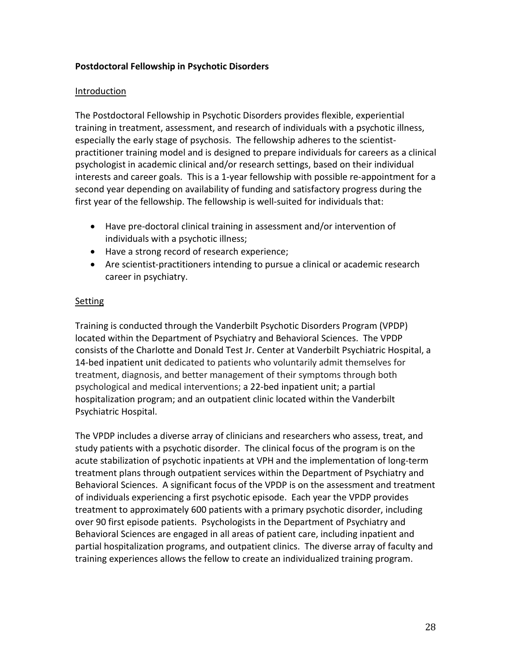#### **Postdoctoral Fellowship in Psychotic Disorders**

#### Introduction

The Postdoctoral Fellowship in Psychotic Disorders provides flexible, experiential training in treatment, assessment, and research of individuals with a psychotic illness, especially the early stage of psychosis. The fellowship adheres to the scientistpractitioner training model and is designed to prepare individuals for careers as a clinical psychologist in academic clinical and/or research settings, based on their individual interests and career goals. This is a 1-year fellowship with possible re-appointment for a second year depending on availability of funding and satisfactory progress during the first year of the fellowship. The fellowship is well-suited for individuals that:

- Have pre-doctoral clinical training in assessment and/or intervention of individuals with a psychotic illness;
- Have a strong record of research experience;
- Are scientist-practitioners intending to pursue a clinical or academic research career in psychiatry.

#### **Setting**

Training is conducted through the Vanderbilt Psychotic Disorders Program (VPDP) located within the Department of Psychiatry and Behavioral Sciences.The VPDP consists of the Charlotte and Donald Test Jr. Center at Vanderbilt Psychiatric Hospital, a 14-bed inpatient unit dedicated to patients who voluntarily admit themselves for treatment, diagnosis, and better management of their symptoms through both psychological and medical interventions; a 22-bed inpatient unit; a partial hospitalization program; and an outpatient clinic located within the Vanderbilt Psychiatric Hospital.

The VPDP includes a diverse array of clinicians and researchers who assess, treat, and study patients with a psychotic disorder. The clinical focus of the program is on the acute stabilization of psychotic inpatients at VPH and the implementation of long-term treatment plans through outpatient services within the Department of Psychiatry and Behavioral Sciences. A significant focus of the VPDP is on the assessment and treatment of individuals experiencing a first psychotic episode. Each year the VPDP provides treatment to approximately 600 patients with a primary psychotic disorder, including over 90 first episode patients. Psychologists in the Department of Psychiatry and Behavioral Sciences are engaged in all areas of patient care, including inpatient and partial hospitalization programs, and outpatient clinics. The diverse array of faculty and training experiences allows the fellow to create an individualized training program.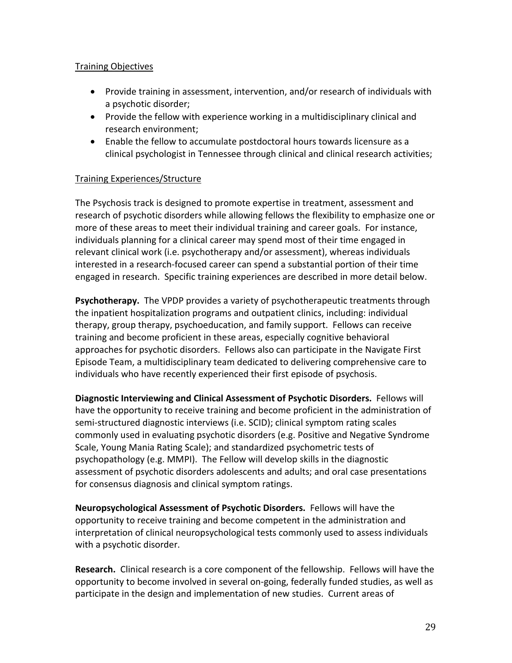# Training Objectives

- Provide training in assessment, intervention, and/or research of individuals with a psychotic disorder;
- Provide the fellow with experience working in a multidisciplinary clinical and research environment;
- Enable the fellow to accumulate postdoctoral hours towards licensure as a clinical psychologist in Tennessee through clinical and clinical research activities;

# Training Experiences/Structure

The Psychosis track is designed to promote expertise in treatment, assessment and research of psychotic disorders while allowing fellows the flexibility to emphasize one or more of these areas to meet their individual training and career goals. For instance, individuals planning for a clinical career may spend most of their time engaged in relevant clinical work (i.e. psychotherapy and/or assessment), whereas individuals interested in a research-focused career can spend a substantial portion of their time engaged in research. Specific training experiences are described in more detail below.

**Psychotherapy.** The VPDP provides a variety of psychotherapeutic treatments through the inpatient hospitalization programs and outpatient clinics, including: individual therapy, group therapy, psychoeducation, and family support. Fellows can receive training and become proficient in these areas, especially cognitive behavioral approaches for psychotic disorders. Fellows also can participate in the Navigate First Episode Team, a multidisciplinary team dedicated to delivering comprehensive care to individuals who have recently experienced their first episode of psychosis.

**Diagnostic Interviewing and Clinical Assessment of Psychotic Disorders.** Fellows will have the opportunity to receive training and become proficient in the administration of semi-structured diagnostic interviews (i.e. SCID); clinical symptom rating scales commonly used in evaluating psychotic disorders (e.g. Positive and Negative Syndrome Scale, Young Mania Rating Scale); and standardized psychometric tests of psychopathology (e.g. MMPI). The Fellow will develop skills in the diagnostic assessment of psychotic disorders adolescents and adults; and oral case presentations for consensus diagnosis and clinical symptom ratings.

**Neuropsychological Assessment of Psychotic Disorders.** Fellows will have the opportunity to receive training and become competent in the administration and interpretation of clinical neuropsychological tests commonly used to assess individuals with a psychotic disorder.

**Research.** Clinical research is a core component of the fellowship. Fellows will have the opportunity to become involved in several on-going, federally funded studies, as well as participate in the design and implementation of new studies. Current areas of